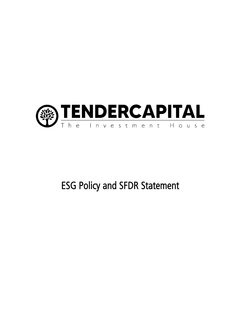

## ESG Policy and SFDR Statement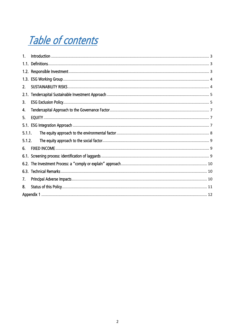# Table of contents

| $\mathbf{1}$ . |  |  |  |
|----------------|--|--|--|
|                |  |  |  |
| 1.2.           |  |  |  |
| 1.3.           |  |  |  |
| 2.             |  |  |  |
| 2.1.           |  |  |  |
| 3.             |  |  |  |
| 4.             |  |  |  |
| 5.             |  |  |  |
| 5.1.           |  |  |  |
| 5.1.1.         |  |  |  |
| 5.1.2.         |  |  |  |
| 6.             |  |  |  |
|                |  |  |  |
| 6.2.           |  |  |  |
| 6.3.           |  |  |  |
| 7.             |  |  |  |
| 8.             |  |  |  |
|                |  |  |  |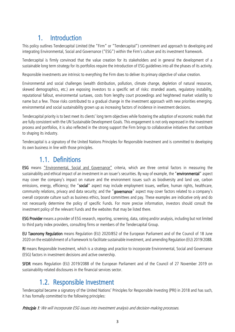#### 1. Introduction

<span id="page-2-0"></span>This policy outlines Tendercapital Limited (the "Firm" or "Tendercapital") commitment and approach to developing and integrating Environmental, Social and Governance ("ESG") within the Firm's culture and its investment framework.

Tendercapital is firmly convinced that the value creation for its stakeholders and in general the development of a sustainable long term strategy for its portfolios require the introduction of ESG guidelines into all the phases of its activity.

Responsible investments are intrinsic to everything the Firm does to deliver its primary objective of value creation.

Environmental and social challenges (wealth distribution, pollution, climate change, depletion of natural resources, skewed demographics, etc.) are exposing investors to a specific set of risks: stranded assets, regulatory instability, reputational fallout, environmental surtaxes, costs from lengthy court proceedings and heightened market volatility to name but a few. Those risks contributed to a gradual change in the investment approach with new priorities emerging. environmental and social sustainability grown up as increasing factors of incidence in investment decisions.

Tendercapital priority is to best meet its clients' long term objectives while fostering the adoption of economic models that are fully consistent with the UN Sustainable Development Goals. This engagement is not only expressed in the investment process and portfolios, it is also reflected in the strong support the Firm brings to collaborative initiatives that contribute to shaping its industry.

Tendercapital is a signatory of the United Nations Principles for Responsible Investment and is committed to developing its own business in line with those principles.

#### 1.1. Definitions

<span id="page-2-1"></span>ESG means "Environmental, Social and Governance" criteria, which are three central factors in measuring the sustainability and ethical impact of an investment in an issuer's securities. By way of example, the "environmental" aspect may cover the company's impact on nature and the environment issues such as biodiversity and land use, carbon emissions, energy, efficiency; the "social" aspect may include employment issues, welfare, human rights, healthcare, community relations, privacy and data security; and the "governance" aspect may cover factors related to a company's overall corporate culture such as business ethics, board committees and pay. These examples are indicative only and do not necessarily determine the policy of specific Funds. For more precise information, investors should consult the investment policy of the relevant Funds and the websites that may be listed there.

ESG Provider means a provider of ESG research, reporting, screening, data, rating and/or analysis, including but not limited to third party index providers, consulting firms or members of the Tendercapital Group.

EU Taxonomy Regulation means Regulation (EU) 2020/852 of the European Parliament and of the Council of 18 June 2020 on the establishment of a framework to facilitate sustainable investment, and amending Regulation (EU) 2019/2088.

RI means Responsible Investment, which is a strategy and practice to incorporate Environmental, Social and Governance (ESG) factors in investment decisions and active ownership.

SFDR means Regulation (EU) 2019/2088 of the European Parliament and of the Council of 27 November 2019 on sustainability-related disclosures in the financial services sector.

#### 1.2. Responsible Investment

<span id="page-2-2"></span>Tendercapital became a signatory of the United Nations' Principles for Responsible Investing (PRI) in 2018 and has such, it has formally committed to the following principles:

Principle 1: We will incorporate ESG issues into investment analysis and decision-making processes.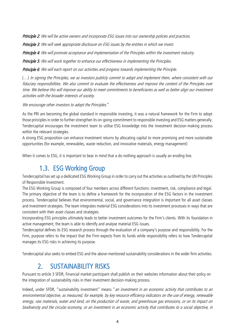Principle 2: We will be active owners and incorporate ESG issues into our ownership policies and practices.

Principle 3: We will seek appropriate disclosure on ESG issues by the entities in which we invest.

Principle 4: We will promote acceptance and implementation of the Principles within the investment industry.

Principle 5: We will work together to enhance our effectiveness in implementing the Principles.

Principle 6: We will each report on our activities and progress towards implementing the Principle.

(…) In signing the Principles, we as investors publicly commit to adopt and implement them, where consistent with our fiduciary responsibilities. We also commit to evaluate the effectiveness and improve the content of the Principles over time. We believe this will improve our ability to meet commitments to beneficiaries as well as better align our investment activities with the broader interests of society.

We encourage other investors to adopt the Principles."

As the PRI are becoming the global standard in responsible investing, it was a natural framework for the Firm to adopt those principles in order to further strengthen its on-going commitment to responsible investing and ESG matters generally. Tendercapital encourages the investment team to utilise ESG knowledge into the investment decision-making process within the relevant strategies.

A strong ESG proposition can enhance investment returns by allocating capital to more promising and more sustainable opportunities (for example, renewables, waste reduction, and innovative materials, energy management)

<span id="page-3-0"></span>When it comes to ESG, it is important to bear in mind that a do-nothing approach is usually an eroding line.

#### 1.3. ESG Working Group

Tendercapital has set up a dedicated ESG Working Group in order to carry out the activities as outlined by the UN Principles of Responsible Investment.

The ESG Working Group is composed of four members across different functions: investment, risk, compliance and legal. The primary objective of the team is to define a framework for the incorporation of the ESG factors in the investment process. Tendercapital believes that environmental, social, and governance integration is important for all asset classes and investment strategies. The team integrates material ESG considerations into its investment processes in ways that are consistent with their asset classes and strategies.

Incorporating ESG principles ultimately leads to better investment outcomes for the Firm's clients. With its foundation in active management, the team is able to identify and analyse material ESG issues.

Tendercapital defines its ESG research process through the evaluation of a company's purpose and responsibility. For the Firm, purpose refers to the impact that the Firm expects from its funds while responsibility refers to how Tendercapital manages its ESG risks in achieving its purpose.

<span id="page-3-1"></span>Tendercapital also seeks to embed ESG and the above-mentioned sustainability considerations in the wider firm activities.

#### 2. SUSTAINABILITY RISKS

Pursuant to article 3 SFDR, Financial market participant shall publish on their websites information about their policy on the integration of sustainability risks in their investment decision-making process.

Indeed, under SFDR, "sustainability investment" means " an investment in an economic activity that contributes to an environmental objective, as measured, for example, by key resource efficiency indicators on the use of energy, renewable energy, raw materials, water and land, on the production of waste, and greenhouse gas emissions, or on its impact on biodiversity and the circular economy, or an investment in an economic activity that contributes to a social objective, in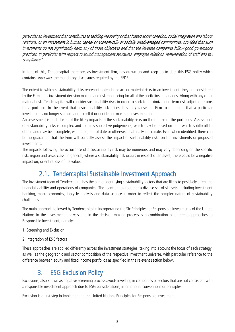particular an investment that contributes to tackling inequality or that fosters social cohesion, social integration and labour relations, or an investment in human capital or economically or socially disadvantaged communities, provided that such investments do not significantly harm any of those objectives and that the investee companies follow good governance practices, in particular with respect to sound management structures, employee relations, remuneration of staff and tax compliance".

In light of this, Tendercapital therefore, as investment firm, has drawn up and keep up to date this ESG policy which contains, *inter alia*, the mandatory disclosures required by the SFDR.

The extent to which sustainability risks represent potential or actual material risks to an investment, they are considered by the Firm in its investment decision making and risk monitoring for all of the portfolios it manages. Along with any other material risk, Tendercapital will consider sustainability risks in order to seek to maximize long-term risk-adjusted returns for a portfolio. In the event that a sustainability risk arises, this may cause the Firm to determine that a particular investment is no longer suitable and to sell it or decide not make an investment in it.

An assessment is undertaken of the likely impacts of the sustainability risks on the returns of the portfolios. Assessment of sustainability risks is complex and requires subjective judgements, which may be based on data which is difficult to obtain and may be incomplete, estimated, out of date or otherwise materially inaccurate. Even when identified, there can be no guarantee that the Firm will correctly assess the impact of sustainability risks on the investments or proposed investments.

The impacts following the occurrence of a sustainability risk may be numerous and may vary depending on the specific risk, region and asset class. In general, where a sustainability risk occurs in respect of an asset, there could be a negative impact on, or entire loss of, its value.

#### 2.1. Tendercapital Sustainable Investment Approach

<span id="page-4-0"></span>The investment team of Tendercapital has the aim of identifying sustainability factors that are likely to positively affect the financial viability and operations of companies. The team brings together a diverse set of skillsets, including investment banking, macroeconomics, lifecycle analysis and data science in order to reflect the complex nature of sustainability challenges.

The main approach followed by Tendercapital in incorporating the Six Principles for Responsible Investments of the United Nations in the investment analysis and in the decision-making process is a combination of different approaches to Responsible Investment, namely:

- 1. Screening and Exclusion
- 2. Integration of ESG factors

These approaches are applied differently across the investment strategies, taking into account the focus of each strategy, as well as the geographic and sector composition of the respective investment universe, with particular reference to the difference between equity and fixed income portfolios as specified in the relevant section below.

#### 3. ESG Exclusion Policy

<span id="page-4-1"></span>Exclusions, also known as negative screening process avoids investing in companies or sectors that are not consistent with a responsible investment approach due to ESG considerations, international conventions or principles.

Exclusion is a first step in implementing the United Nations Principles for Responsible Investment.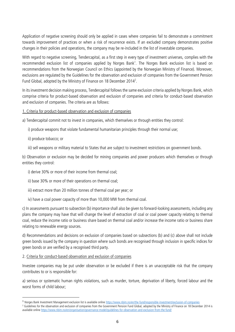Application of negative screening should only be applied in cases where companies fail to demonstrate a commitment towards improvement of practices or when a risk of recurrence exists. If an excluded company demonstrates positive changes in their policies and operations, the company may be re-included in the list of investable companies.

With regard to negative screening, Tendercapital, as a first step in every type of investment universes, complies with the recommended exclusion list of companies applied by Norges Bank<sup>1</sup>. The Norges Bank exclusion list is based on recommendations from the Norwegian Council on Ethics (appointed by the Norwegian Ministry of Finance). Moreover, exclusions are regulated by the Guidelines for the observation and exclusion of companies from the Government Pension Fund Global, adopted by the Ministry of Finance on 18 December 2014<sup>2</sup>.

In its investment decision making process, Tendercapital follows the same exclusion criteria applied by Norges Bank, which comprise criteria for product-based observation and exclusion of companies and criteria for conduct-based observation and exclusion of companies. The criteria are as follows:

#### 1. Criteria for product-based observation and exclusion of companies

a) Tendercapital commit not to invest in companies, which themselves or through entities they control:

i) produce weapons that violate fundamental humanitarian principles through their normal use;

ii) produce tobacco; or

**.** 

iii) sell weapons or military material to States that are subject to investment restrictions on government bonds.

b) Observation or exclusion may be decided for mining companies and power producers which themselves or through entities they control:

i) derive 30% or more of their income from thermal coal;

ii) base 30% or more of their operations on thermal coal;

iii) extract more than 20 million tonnes of thermal coal per year; or

iv) have a coal power capacity of more than 10,000 MW from thermal coal.

c) In assessments pursuant to subsection (b) importance shall also be given to forward-looking assessments, including any plans the company may have that will change the level of extraction of coal or coal power capacity relating to thermal coal, reduce the income ratio or business share based on thermal coal and/or increase the income ratio or business share relating to renewable energy sources.

d) Recommendations and decisions on exclusion of companies based on subsections (b) and (c) above shall not include green bonds issued by the company in question where such bonds are recognised through inclusion in specific indices for green bonds or are verified by a recognised third party.

2. Criteria for conduct-based observation and exclusion of companies

Investee companies may be put under observation or be excluded if there is an unacceptable risk that the company contributes to or is responsible for:

a) serious or systematic human rights violations, such as murder, torture, deprivation of liberty, forced labour and the worst forms of child labour;

<sup>1</sup> Norges Bank Investment Management exclusion list is available onlin[e https://www.nbim.no/en/the-fund/responsible-investment/exclusion-of-companies](https://www.nbim.no/en/the-fund/responsible-investment/exclusion-of-companies)

<sup>&</sup>lt;sup>2</sup> Guidelines for the observation and exclusion of companies from the Government Pension Fund Global, adopted by the Ministry of Finance on 18 December 2014 is available onlin[e https://www.nbim.no/en/organisation/governance-model/guidelines-for-observation-and-exclusion-from-the-fund/](https://www.nbim.no/en/organisation/governance-model/guidelines-for-observation-and-exclusion-from-the-fund/)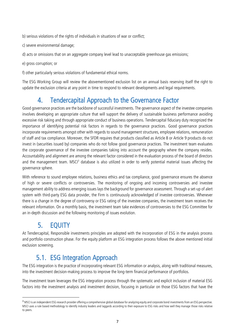b) serious violations of the rights of individuals in situations of war or conflict;

c) severe environmental damage;

d) acts or omissions that on an aggregate company level lead to unacceptable greenhouse gas emissions;

e) gross corruption; or

f) other particularly serious violations of fundamental ethical norms.

The ESG Working Group will review the abovementioned exclusion list on an annual basis reserving itself the right to update the exclusion criteria at any point in time to respond to relevant developments and legal requirements.

#### 4. Tendercapital Approach to the Governance Factor

<span id="page-6-0"></span>Good governance practices are the backbone of successful investments. The governance aspect of the investee companies involves developing an appropriate culture that will support the delivery of sustainable business performance avoiding excessive risk taking and through appropriate conduct of business operations. Tendercapital fiduciary duty recognized the importance of identifying potential risk factors in regards to the governance practices. Good governance practices incorporate requirements amongst other with regards to sound management structures, employee relations, remuneration of staff and tax compliance. Moreover, the SFDR requires that products classified as Article 8 or Article 9 products do not invest in (securities issued by) companies who do not follow good governance practices. The investment team evaluates the corporate governance of the investee companies taking into account the geography where the company resides. Accountability and alignment are among the relevant factor considered in the evaluation process of the board of directors and the management team. MSCI<sup>3</sup> database is also utilized in order to verify potential material issues affecting the governance sphere.

With reference to sound employee relations, business ethics and tax compliance, good governance ensures the absence of high or severe conflicts or controversies. The monitoring of ongoing and incoming controversies and investee management ability to address emerging issues lays the background for governance assessment. Through a set-up of alert system with third-party ESG data provider, the Firm is continuously acknowledged of investee controversies. Whenever there is a change in the degree of controversy or ESG rating of the investee companies, the investment team receives the relevant information. On a monthly basis, the investment team take evidences of controversies to the ESG Committee for an in-depth discussion and the following monitoring of issues evolution.

#### 5. EQUITY

**.** 

<span id="page-6-1"></span>At Tendercapital, Responsible investments principles are adopted with the incorporation of ESG in the analysis process and portfolio construction phase. For the equity platform an ESG integration process follows the above mentioned initial exclusion screening.

#### 5.1. ESG Integration Approach

<span id="page-6-2"></span>The ESG integration is the practice of incorporating relevant ESG information or analysis, along with traditional measures, into the investment decision-making process to improve the long-term financial performance of portfolios.

The investment team leverages the ESG integration process through the systematic and explicit inclusion of material ESG factors into the investment analysis and investment decision, focusing in particular on those ESG factors that have the

<sup>&</sup>lt;sup>3</sup> MSCI is an independent ESG research provider offering a comprehensive global database for analyzing equity and corporate bond investments from an ESG perspective. MSCI uses a rule based methodology to identify industry leaders and laggards according to their exposure to ESG risks and how well they manage those risks relative to peers.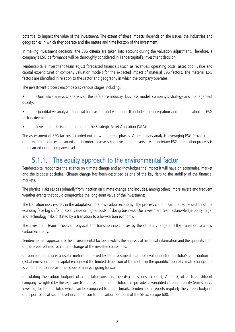potential to impact the value of the investment. The extent of these impacts depends on the issuer, the industries and geographies in which they operate and the nature and time horizon of the investment.

In making investment decisions, the ESG criteria are taken into account during the valuation adjustment. Therefore, a company's ESG performance will be thoroughly considered in Tendercapital's investment decision.

Tendercapital's investment team adjust forecasted financials (such as revenues, operating costs, asset book value and capital expenditure) or company valuation models for the expected impact of material ESG factors. The material ESG factors are identified in relation to the sector and geography in which the company operates.

The investment process encompasses various stages including:

• Qualitative analysis: analysis of the reference industry, business model, company's strategy and management quality;

• Quantitative analysis: financial forecasting and valuation. It includes the integration and quantification of ESG factors deemed material;

• Investment decision: definition of the Strategic Asset Allocation (SAA).

The assessment of ESG factors is carried out in two different phases. A preliminary analysis leveraging ESG Provider and other external sources is carried out in order to assess the investable universe. A proprietary ESG integration process is then carried out at company level.

#### <span id="page-7-0"></span>5.1.1. The equity approach to the environmental factor

Tendercapital recognizes the science on climate change and acknowledges the impact it will have on economies, market and the broader societies. Climate change has been described as one of the key risks to the stability of the financial markets.

The physical risks resides primarily from inaction on climate change and includes, among others, more severe and frequent weather events that could compromise the long-term value of the investments.

The transition risks resides in the adaptation to a low carbon economy. The process could mean that some sectors of the economy face big shifts in asset value or higher costs of doing business. Our investment team acknowledge policy, legal and technology risks dictated by a transition to a low-carbon economy.

The investment team focuses on physical and transition risks poses by the climate change and the transition to a low carbon economy.

Tendercapital's approach to the environmental factors involves the analysis of historical information and the quantification of the preparedness for climate change of the investee companies.

Carbon footprinting is a useful metrics employed by the investment team for evaluation the portfolio's contribution to global emission. Tendercapital recognized the limited dimension of the metric in the quantification of climate change and is committed to improve the scope of analysis going forward.

Calculating the carbon footprint of a portfolio considers the GHG emissions (scope 1, 2 and 3) of each constituent company, weighted by the exposure to that issuer in the portfolio. This provides a weighted carbon intensity (emissions/€ invested) for the portfolio, which can be compared to a benchmark. Tendercapital reports regularly the carbon footprint of its portfolios at sector level in comparison to the carbon footprint of the Stoxx Europe 600.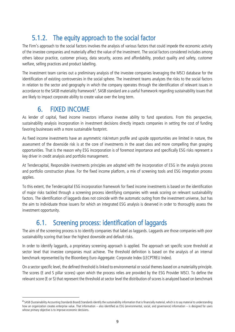#### 5.1.2. The equity approach to the social factor

<span id="page-8-0"></span>The Firm's approach to the social factors involves the analysis of various factors that could impede the economic activity of the investee companies and materially affect the value of the investment. The social factors considered includes among others labour practice, customer privacy, data security, access and affordability, product quality and safety, customer welfare, selling practices and product labelling.

The investment team carries out a preliminary analysis of the investee companies leveraging the MSCI database for the identification of existing controversies in the social sphere. The investment teams analyzes the risks to the social factors in relation to the sector and geography in which the company operates through the identification of relevant issues in accordance to the SASB materiality framework<sup>4</sup>. SASB standard are a useful framework regarding sustainability issues that are likely to impact corporate ability to create value over the long term.

#### 6. FIXED INCOME

**.** 

<span id="page-8-1"></span>As lender of capital, fixed income investors influence investee ability to fund operations. From this perspective, sustainability analysis incorporation in investment decisions directly impacts companies in setting the cost of funding favoring businesses with a more sustainable footprint.

As fixed income investments have an asymmetric risk/return profile and upside opportunities are limited in nature, the assessment of the downside risk is at the core of investments in the asset class and more compelling than grasping opportunities. That is the reason why ESG incorporation is of foremost importance and specifically ESG risks represent a key driver in credit analysis and portfolio management.

At Tendercapital, Responsible investments principles are adopted with the incorporation of ESG in the analysis process and portfolio construction phase. For the fixed income platform, a mix of screening tools and ESG integration process applies.

To this extent, the Tendercapital ESG incorporation framework for fixed income investments is based on the identification of major risks tackled through a screening process identifying companies with weak scoring on relevant sustainability factors. The identification of laggards does not coincide with the automatic outing from the investment universe, but has the aim to individuate those issuers for which an integrated ESG analysis is deserved in order to thoroughly assess the investment opportunity.

#### 6.1. Screening process: identification of laggards

<span id="page-8-2"></span>The aim of the screening process is to identify companies that label as laggards. Laggards are those companies with poor sustainability scoring that bear the highest downside and default risks.

In order to identify laggards, a proprietary screening approach is applied. The approach set specific score threshold at sector level that investee companies must achieve. The threshold definition is based on the analysis of an internal benchmark represented by the Bloomberg Euro-Aggregate: Corporate Index (LECPTREU Index).

On a sector specific level, the defined threshold is linked to environmental or social themes based on a materiality principle. The scores (E and S pillar scores) upon which the process relies are provided by the ESG Provider MSCI. To define the relevant score (E or S) that represent the threshold at sector level the distribution of scores is analyzed based on benchmark

<sup>4</sup> SASB (Sustainability Accounting Standards Board) Standards identify the sustainability information that is financially material, which is to say material to understanding how an organization creates enterprise value. That information – also identified as ESG (environmental, social, and governance) information – is designed for users whose primary objective is to improve economic decisions.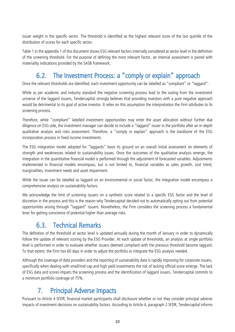issuer weight in the specific sector. The threshold is identified as the highest relevant score of the last quintile of the distribution of scores for each specific sector.

Table 1 in the appendix 1 of this document shows ESG relevant factors internally considered at sector level in the definition of the screening threshold. For the purpose of defining the most relevant factor, an internal assessment is paired with materiality indications provided by the SASB framework.

#### 6.2. The Investment Process: a "comply or explain" approach

<span id="page-9-0"></span>Once the relevant thresholds are identified, each investment opportunity can be labelled as "compliant" or "laggard".

While as per academic and industry standard the negative screening process lead to the outing from the investment universe of the laggard issuers, Tendercapital strongly believes that providing investors with a pure negative approach would be detrimental to its goal of active investor. It relies on this assumption the interpretation the Firm attributes to its screening process.

Therefore, while "compliant" labelled investment opportunities may enter the asset allocation without further due diligence on ESG side, the investment manager can decide to include a "laggard" issuer in the portfolio after an in-depth qualitative analysis and risks assessment. Therefore, a "comply or explain" approach is the backbone of the ESG incorporation process in fixed income investments.

The ESG integration model adopted for "laggards" basis its ground on an overall initial assessment on elements of strength and weaknesses related to sustainability issues. Once the outcomes of the qualitative analysis emerge, the integration in the quantitative financial model is performed through the adjustment of forecasted variables. Adjustments implemented in financial models encompass, but is not limited to, financial variables as sales growth, cost trend, marginalities, investment needs and asset impairment.

While the issuer can be labelled as laggard on an environmental or social factor, the integration model encompass a comprehensive analysis on sustainability factors.

We acknowledge the limit of screening issuers on a synthetic score related to a specific ESG factor and the level of discretion in the process and this is the reason why Tendercapital decided not to automatically opting out from potential opportunities arising through "laggard" issuers. Nonetheless, the Firm considers the screening process a fundamental lever for getting conscience of potential higher than average risks.

#### 6.3. Technical Remarks

<span id="page-9-1"></span>The definition of the threshold at sector level is updated annually during the month of January in order to dynamically follow the update of relevant scoring by the ESG Provider. At each update of thresholds, an analysis at single portfolio level is performed in order to evaluate whether issuers deemed compliant with the previous threshold become laggard. To that extent, the Firm has 60 days in order to adjust the portfolio or integrate the ESG analysis needed.

Although the coverage of data providers and the reporting of sustainability data is rapidly improving for corporate issuers, specifically when dealing with small/mid cap and high yield investments the risk of lacking official score emerge. The lack of ESG data and scores impairs the screening process and the identification of laggard issuers. Tendercapital commits to a minimum portfolio coverage of 75%.

#### 7. Principal Adverse Impacts

<span id="page-9-2"></span>Pursuant to Article 4 SFDR, financial market participants shall disclosure whether or not they consider principal adverse impacts of investment decisions on sustainability factors. According to Article 4, paragraph 2 SFDR, Tendercapital informs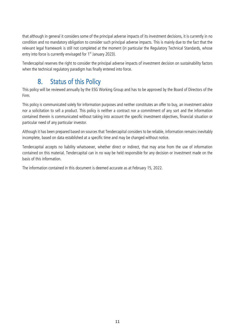that although in general it considers some of the principal adverse impacts of its investment decisions, it is currently in no condition and no mandatory obligation to consider such principal adverse impacts. This is mainly due to the fact that the relevant legal framework is still not completed at the moment (in particular the Regulatory Technical Standards, whose entry into force is currently envisaged for 1<sup>st</sup> January 2023).

Tendercapital reserves the right to consider the principal adverse impacts of investment decision on sustainability factors when the technical regulatory paradigm has finally entered into force.

#### 8. Status of this Policy

<span id="page-10-0"></span>This policy will be reviewed annually by the ESG Working Group and has to be approved by the Board of Directors of the Firm.

This policy is communicated solely for information purposes and neither constitutes an offer to buy, an investment advice nor a solicitation to sell a product. This policy is neither a contract nor a commitment of any sort and the information contained therein is communicated without taking into account the specific investment objectives, financial situation or particular need of any particular investor.

Although it has been prepared based on sources that Tendercapital considers to be reliable, information remains inevitably incomplete, based on data established at a specific time and may be changed without notice.

Tendercapital accepts no liability whatsoever, whether direct or indirect, that may arise from the use of information contained on this material. Tendercapital can in no way be held responsible for any decision or investment made on the basis of this information.

The information contained in this document is deemed accurate as at February 15, 2022.